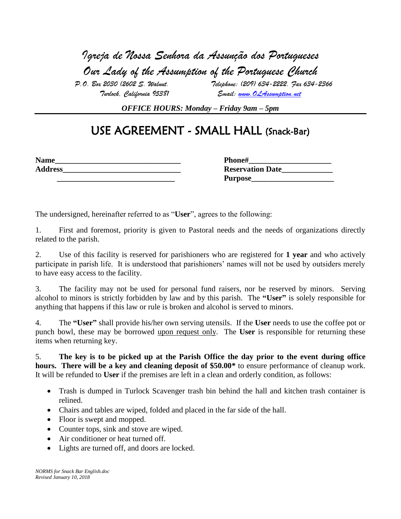*Igreja de Nossa Senhora da Assunção dos Portugueses Our Lady of the Assumption of the Portuguese Church*

 *P.O. Box 2030 (2602 S. Walnut. Telephone: (209) 634-2222. Fax 634-2366 Turlock, California 95381 Email: [www.OLAssumption.net](http://www.olassumption.net/)*

*OFFICE HOURS: Monday – Friday 9am – 5pm* 

## USE AGREEMENT - SMALL HALL (Snack-Bar)

| <b>Name</b>    | <b>Phone#</b>           |
|----------------|-------------------------|
| <b>Address</b> | <b>Reservation Date</b> |

| <b>Name</b>    | <b>Phone#</b>           |
|----------------|-------------------------|
| <b>Address</b> | <b>Reservation Date</b> |
|                | <b>Purpose</b>          |

The undersigned, hereinafter referred to as "**User**", agrees to the following:

1. First and foremost, priority is given to Pastoral needs and the needs of organizations directly related to the parish.

2. Use of this facility is reserved for parishioners who are registered for **1 year** and who actively participate in parish life. It is understood that parishioners' names will not be used by outsiders merely to have easy access to the facility.

3. The facility may not be used for personal fund raisers, nor be reserved by minors. Serving alcohol to minors is strictly forbidden by law and by this parish. The **"User"** is solely responsible for anything that happens if this law or rule is broken and alcohol is served to minors.

4. The **"User"** shall provide his/her own serving utensils. If the **User** needs to use the coffee pot or punch bowl, these may be borrowed upon request only. The **User** is responsible for returning these items when returning key.

5. **The key is to be picked up at the Parish Office the day prior to the event during office hours. There will be a key and cleaning deposit of \$50.00\*** to ensure performance of cleanup work. It will be refunded to **User** if the premises are left in a clean and orderly condition, as follows:

- Trash is dumped in Turlock Scavenger trash bin behind the hall and kitchen trash container is relined.
- Chairs and tables are wiped, folded and placed in the far side of the hall.
- Floor is swept and mopped.
- Counter tops, sink and stove are wiped.
- Air conditioner or heat turned off.
- Lights are turned off, and doors are locked.

*NORMS for Snack Bar English.doc Revised January 10, 2018*